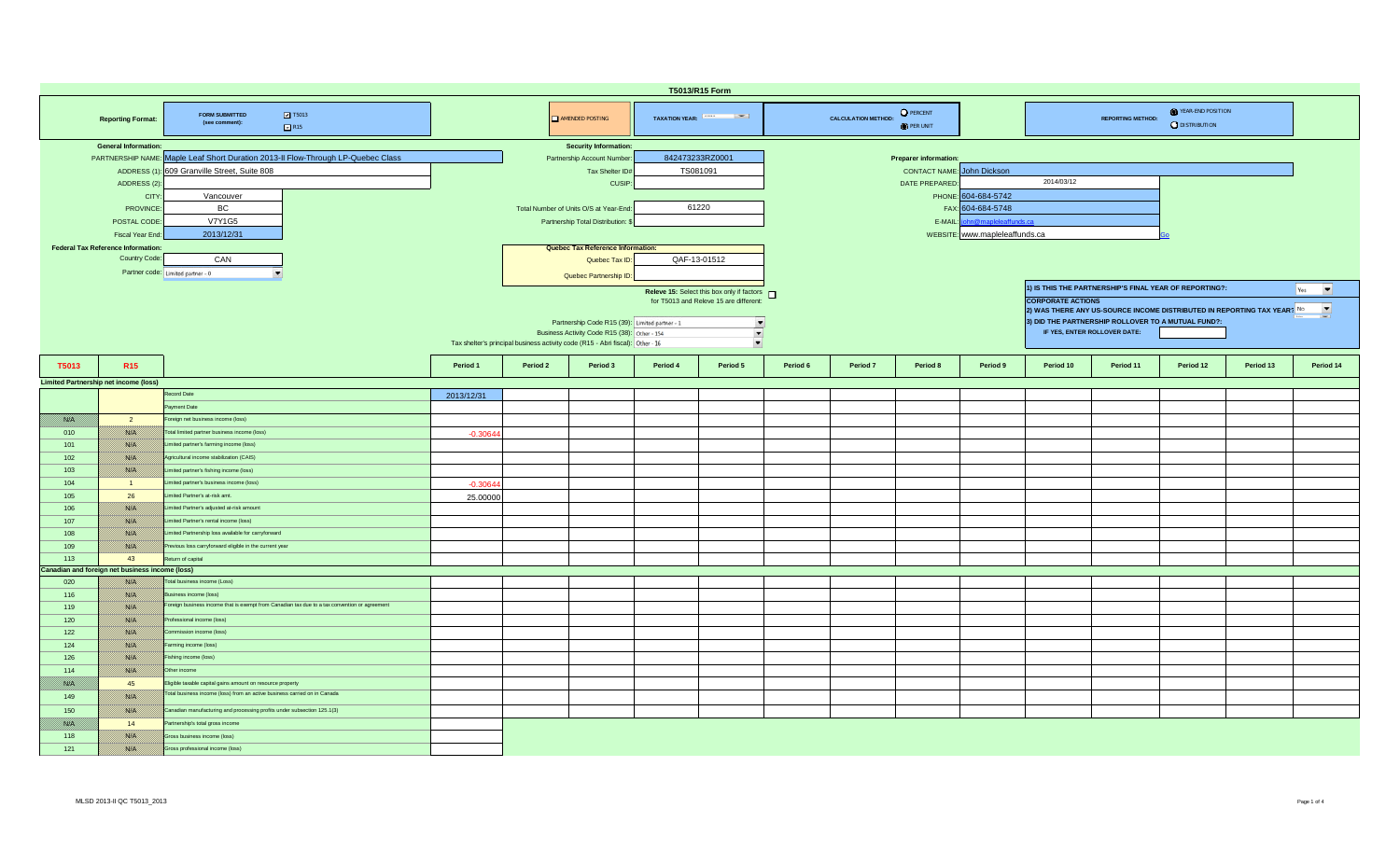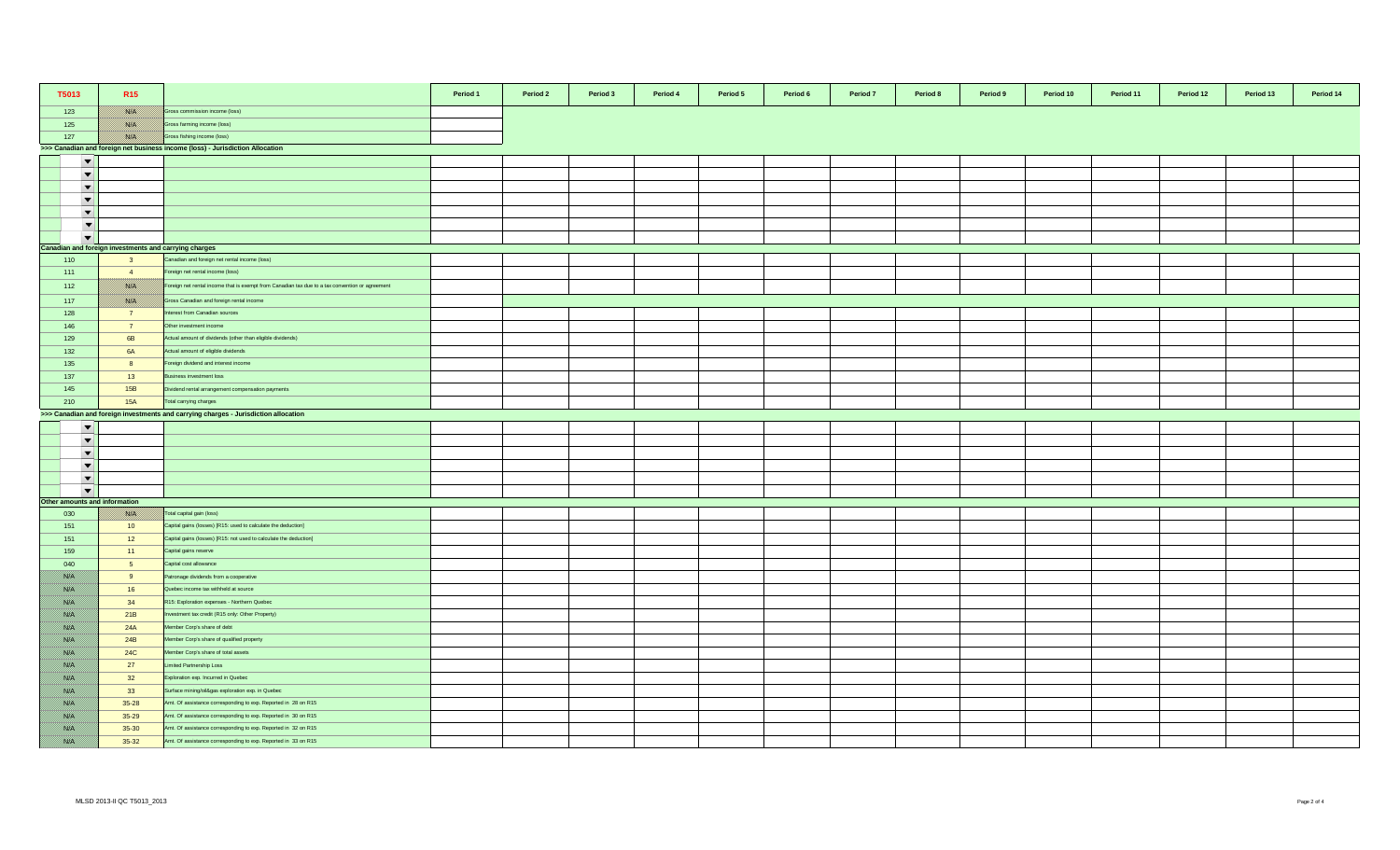| T5013                         | R <sub>15</sub>                                       |                                                                                                 | Period 1 | Period 2 | Period 3 | Period 4 | Period 5 | Period 6 | Period 7 | Period 8 | Period 9 | Period 10 | Period 11 | Period 12 | Period 13 | Period 14 |
|-------------------------------|-------------------------------------------------------|-------------------------------------------------------------------------------------------------|----------|----------|----------|----------|----------|----------|----------|----------|----------|-----------|-----------|-----------|-----------|-----------|
| 123                           | <u> 1880 K. J</u>                                     | Gross commission income (loss)                                                                  |          |          |          |          |          |          |          |          |          |           |           |           |           |           |
| 125                           | 788 F                                                 | iross farming income (loss)                                                                     |          |          |          |          |          |          |          |          |          |           |           |           |           |           |
| 127                           | filman k                                              | Gross fishing income (loss)                                                                     |          |          |          |          |          |          |          |          |          |           |           |           |           |           |
|                               |                                                       | >>> Canadian and foreign net business income (loss) - Jurisdiction Allocation                   |          |          |          |          |          |          |          |          |          |           |           |           |           |           |
| $\overline{\phantom{a}}$      |                                                       |                                                                                                 |          |          |          |          |          |          |          |          |          |           |           |           |           |           |
| $\blacktriangledown$          |                                                       |                                                                                                 |          |          |          |          |          |          |          |          |          |           |           |           |           |           |
| $\overline{\phantom{a}}$      |                                                       |                                                                                                 |          |          |          |          |          |          |          |          |          |           |           |           |           |           |
| $\overline{\phantom{a}}$      |                                                       |                                                                                                 |          |          |          |          |          |          |          |          |          |           |           |           |           |           |
| $\overline{\phantom{a}}$      |                                                       |                                                                                                 |          |          |          |          |          |          |          |          |          |           |           |           |           |           |
|                               |                                                       |                                                                                                 |          |          |          |          |          |          |          |          |          |           |           |           |           |           |
| $\overline{\phantom{a}}$      |                                                       |                                                                                                 |          |          |          |          |          |          |          |          |          |           |           |           |           |           |
| $\overline{\phantom{a}}$      |                                                       |                                                                                                 |          |          |          |          |          |          |          |          |          |           |           |           |           |           |
|                               | Canadian and foreign investments and carrying charges | Canadian and foreign net rental income (loss)                                                   |          |          |          |          |          |          |          |          |          |           |           |           |           |           |
| 110                           | $\overline{\mathbf{3}}$<br>$-4$                       | Foreign net rental income (loss)                                                                |          |          |          |          |          |          |          |          |          |           |           |           |           |           |
| 111                           |                                                       |                                                                                                 |          |          |          |          |          |          |          |          |          |           |           |           |           |           |
| 112                           | <u> Bishiri</u>                                       | Foreign net rental income that is exempt from Canadian tax due to a tax convention or agreement |          |          |          |          |          |          |          |          |          |           |           |           |           |           |
| 117                           | 78. S.H                                               | Gross Canadian and foreign rental income                                                        |          |          |          |          |          |          |          |          |          |           |           |           |           |           |
| 128                           | 7 <sup>7</sup>                                        | terest from Canadian sources                                                                    |          |          |          |          |          |          |          |          |          |           |           |           |           |           |
| 146                           | $\overline{7}$                                        | Other investment income                                                                         |          |          |          |          |          |          |          |          |          |           |           |           |           |           |
| 129                           | 6B                                                    | Actual amount of dividends (other than eligible dividends)                                      |          |          |          |          |          |          |          |          |          |           |           |           |           |           |
| 132                           | 6A                                                    | Actual amount of eligible dividends                                                             |          |          |          |          |          |          |          |          |          |           |           |           |           |           |
| 135                           | 8                                                     | oreign dividend and interest income                                                             |          |          |          |          |          |          |          |          |          |           |           |           |           |           |
| 137                           | 13                                                    | usiness investment loss                                                                         |          |          |          |          |          |          |          |          |          |           |           |           |           |           |
| 145                           | 15B                                                   | Dividend rental arrangement compensation payments                                               |          |          |          |          |          |          |          |          |          |           |           |           |           |           |
| 210                           | <b>15A</b>                                            | otal carrying charges                                                                           |          |          |          |          |          |          |          |          |          |           |           |           |           |           |
|                               |                                                       | >>> Canadian and foreign investments and carrying charges - Jurisdiction allocation             |          |          |          |          |          |          |          |          |          |           |           |           |           |           |
| $\overline{\phantom{a}}$      |                                                       |                                                                                                 |          |          |          |          |          |          |          |          |          |           |           |           |           |           |
| $\overline{\phantom{a}}$      |                                                       |                                                                                                 |          |          |          |          |          |          |          |          |          |           |           |           |           |           |
|                               |                                                       |                                                                                                 |          |          |          |          |          |          |          |          |          |           |           |           |           |           |
| $\overline{\phantom{0}}$      |                                                       |                                                                                                 |          |          |          |          |          |          |          |          |          |           |           |           |           |           |
| $\overline{\phantom{a}}$      |                                                       |                                                                                                 |          |          |          |          |          |          |          |          |          |           |           |           |           |           |
| $\blacktriangledown$          |                                                       |                                                                                                 |          |          |          |          |          |          |          |          |          |           |           |           |           |           |
| $\blacktriangledown$          |                                                       |                                                                                                 |          |          |          |          |          |          |          |          |          |           |           |           |           |           |
| Other amounts and information |                                                       |                                                                                                 |          |          |          |          |          |          |          |          |          |           |           |           |           |           |
| 030                           | 789 S.                                                | Total capital gain (loss)                                                                       |          |          |          |          |          |          |          |          |          |           |           |           |           |           |
| 151                           | 10 <sup>10</sup>                                      | Capital gains (losses) [R15: used to calculate the deduction]                                   |          |          |          |          |          |          |          |          |          |           |           |           |           |           |
| 151                           | 12                                                    | Capital gains (losses) [R15: not used to calculate the deduction]                               |          |          |          |          |          |          |          |          |          |           |           |           |           |           |
| 159                           | $-11$                                                 | Capital gains reserve                                                                           |          |          |          |          |          |          |          |          |          |           |           |           |           |           |
| 040                           | 5 <sup>5</sup>                                        | Capital cost allowance                                                                          |          |          |          |          |          |          |          |          |          |           |           |           |           |           |
|                               | 9                                                     | Patronage dividends from a cooperative                                                          |          |          |          |          |          |          |          |          |          |           |           |           |           |           |
| 788 E.                        | 16                                                    | Quebec income tax withheld at source                                                            |          |          |          |          |          |          |          |          |          |           |           |           |           |           |
| 788 E.                        | 34                                                    | R15: Exploration expenses - Northern Quebec                                                     |          |          |          |          |          |          |          |          |          |           |           |           |           |           |
| //www                         | 21B                                                   | vestment tax credit (R15 only: Other Property)                                                  |          |          |          |          |          |          |          |          |          |           |           |           |           |           |
| 1899 M                        | 24A                                                   | Member Corp's share of debt                                                                     |          |          |          |          |          |          |          |          |          |           |           |           |           |           |
| //www                         | 24B                                                   | lember Corp's share of qualified property                                                       |          |          |          |          |          |          |          |          |          |           |           |           |           |           |
| 1980 OS                       | <b>24C</b>                                            | Member Corp's share of total assets                                                             |          |          |          |          |          |          |          |          |          |           |           |           |           |           |
| <u> British</u>               | 27                                                    | Limited Partnership Loss                                                                        |          |          |          |          |          |          |          |          |          |           |           |           |           |           |
| 1980 OS                       | 32                                                    | Exploration exp. Incurred in Quebec                                                             |          |          |          |          |          |          |          |          |          |           |           |           |           |           |
| 1989 EU                       | 33                                                    | Surface mining/oil&gas exploration exp. in Quebec                                               |          |          |          |          |          |          |          |          |          |           |           |           |           |           |
| 788. EU                       | $35 - 28$                                             | Amt. Of assistance corresponding to exp. Reported in 28 on R15                                  |          |          |          |          |          |          |          |          |          |           |           |           |           |           |
| 1989 EU                       | 35-29                                                 | Amt. Of assistance corresponding to exp. Reported in 30 on R15                                  |          |          |          |          |          |          |          |          |          |           |           |           |           |           |
|                               | $35 - 30$                                             | Amt. Of assistance corresponding to exp. Reported in 32 on R15                                  |          |          |          |          |          |          |          |          |          |           |           |           |           |           |
| 1880 Bil                      | $35-32$                                               | Amt. Of assistance corresponding to exp. Reported in 33 on R15                                  |          |          |          |          |          |          |          |          |          |           |           |           |           |           |
|                               |                                                       |                                                                                                 |          |          |          |          |          |          |          |          |          |           |           |           |           |           |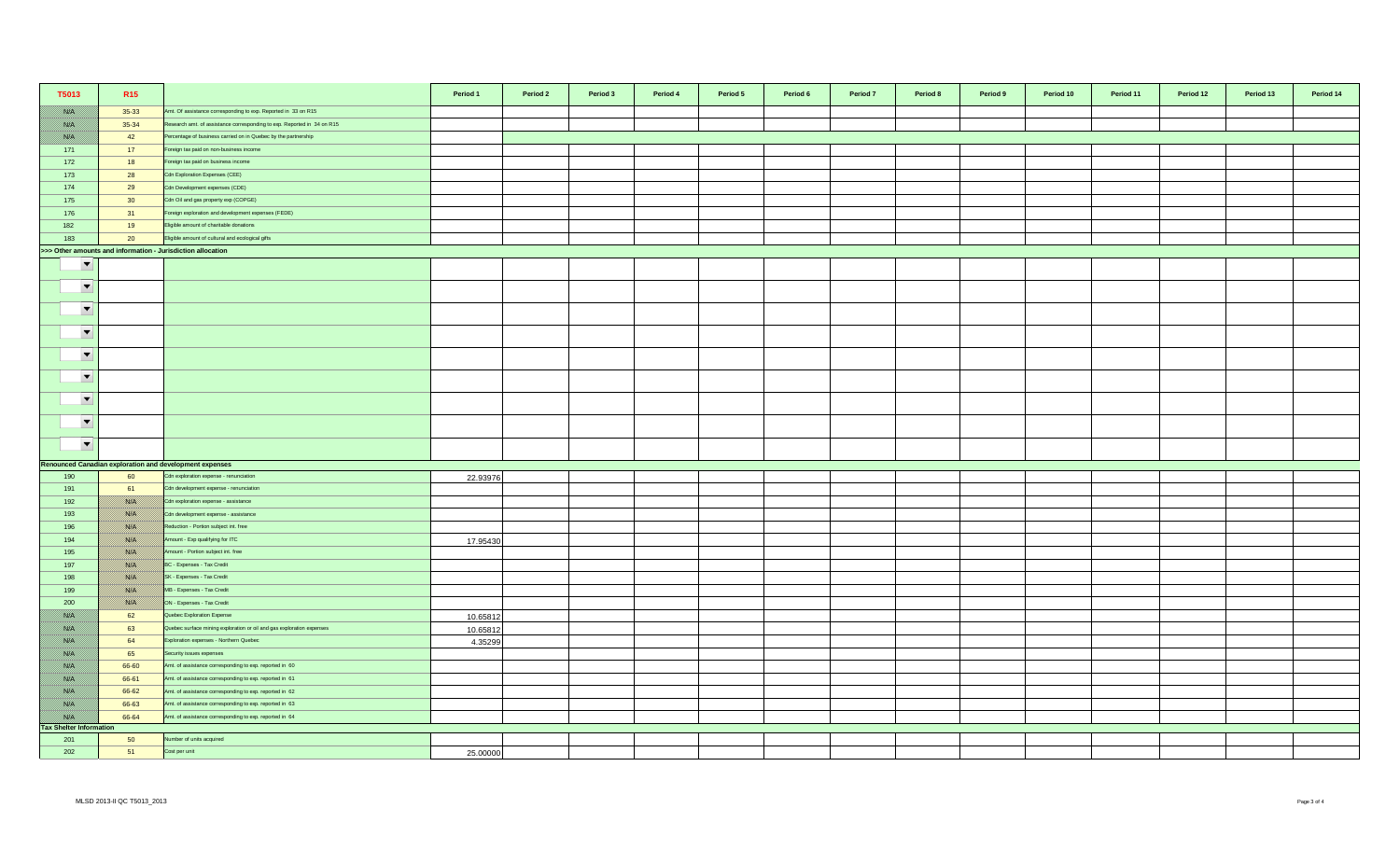| T5013                                                       | R <sub>15</sub> |                                                                         | Period 1 | Period 2 | Period 3 | Period 4 | Period 5 | Period 6 | Period 7 | Period 8 | Period 9 | Period 10 | Period 11 | Period 12 | Period 13 | Period 14 |
|-------------------------------------------------------------|-----------------|-------------------------------------------------------------------------|----------|----------|----------|----------|----------|----------|----------|----------|----------|-----------|-----------|-----------|-----------|-----------|
| <b>SSIE</b>                                                 | $35 - 33$       | Amt. Of assistance corresponding to exp. Reported in 33 on R15          |          |          |          |          |          |          |          |          |          |           |           |           |           |           |
| <u> Kirk</u>                                                | 35-34           | Research amt. of assistance corresponding to exp. Reported in 34 on R15 |          |          |          |          |          |          |          |          |          |           |           |           |           |           |
| <b>SSIP</b>                                                 | 42              | Percentage of business carried on in Quebec by the partnership          |          |          |          |          |          |          |          |          |          |           |           |           |           |           |
| 171                                                         | 17              | Foreign tax paid on non-business income                                 |          |          |          |          |          |          |          |          |          |           |           |           |           |           |
| 172                                                         | 18              | oreign tax paid on business income                                      |          |          |          |          |          |          |          |          |          |           |           |           |           |           |
| 173                                                         | 28              | <b>Cdn Exploration Expenses (CEE)</b>                                   |          |          |          |          |          |          |          |          |          |           |           |           |           |           |
| 174                                                         | 29              | Cdn Development expenses (CDE)                                          |          |          |          |          |          |          |          |          |          |           |           |           |           |           |
| 175                                                         | 30 <sup>°</sup> | Cdn Oil and gas property exp (COPGE)                                    |          |          |          |          |          |          |          |          |          |           |           |           |           |           |
| 176                                                         | 31              | Foreign exploration and development expenses (FEDE)                     |          |          |          |          |          |          |          |          |          |           |           |           |           |           |
| 182                                                         | 19              | Eligible amount of charitable donations                                 |          |          |          |          |          |          |          |          |          |           |           |           |           |           |
| 183                                                         | 20              | Eligible amount of cultural and ecological gifts                        |          |          |          |          |          |          |          |          |          |           |           |           |           |           |
| >>> Other amounts and information - Jurisdiction allocation |                 |                                                                         |          |          |          |          |          |          |          |          |          |           |           |           |           |           |
| $\overline{\phantom{0}}$                                    |                 |                                                                         |          |          |          |          |          |          |          |          |          |           |           |           |           |           |
| $\overline{\phantom{a}}$                                    |                 |                                                                         |          |          |          |          |          |          |          |          |          |           |           |           |           |           |
| $\blacktriangledown$                                        |                 |                                                                         |          |          |          |          |          |          |          |          |          |           |           |           |           |           |
| $\blacktriangledown$                                        |                 |                                                                         |          |          |          |          |          |          |          |          |          |           |           |           |           |           |
| $\overline{\phantom{a}}$                                    |                 |                                                                         |          |          |          |          |          |          |          |          |          |           |           |           |           |           |
| $\overline{\phantom{a}}$                                    |                 |                                                                         |          |          |          |          |          |          |          |          |          |           |           |           |           |           |
| $\blacktriangledown$                                        |                 |                                                                         |          |          |          |          |          |          |          |          |          |           |           |           |           |           |
| $\blacktriangledown$                                        |                 |                                                                         |          |          |          |          |          |          |          |          |          |           |           |           |           |           |
| $\blacktriangledown$                                        |                 |                                                                         |          |          |          |          |          |          |          |          |          |           |           |           |           |           |
|                                                             |                 | <b>Renounced Canadian exploration and development expenses</b>          |          |          |          |          |          |          |          |          |          |           |           |           |           |           |
| 190                                                         | 60              | Cdn exploration expense - renunciation                                  | 22.93976 |          |          |          |          |          |          |          |          |           |           |           |           |           |
| 191                                                         | 61              | Cdn development expense - renunciation                                  |          |          |          |          |          |          |          |          |          |           |           |           |           |           |
| 192                                                         | <b>BALO</b>     | Cdn exploration expense - assistance                                    |          |          |          |          |          |          |          |          |          |           |           |           |           |           |
| 193                                                         | 1880 F          | Cdn development expense - assistance                                    |          |          |          |          |          |          |          |          |          |           |           |           |           |           |
| 196                                                         | <u> Kirkil</u>  | Reduction - Portion subject int. free                                   |          |          |          |          |          |          |          |          |          |           |           |           |           |           |
| 194                                                         | 78. S           | Amount - Exp qualifying for ITC                                         | 17.95430 |          |          |          |          |          |          |          |          |           |           |           |           |           |
| 195                                                         | 1889 H          | Amount - Portion subject int. free                                      |          |          |          |          |          |          |          |          |          |           |           |           |           |           |
| 197                                                         | <u> Kill</u>    | BC - Expenses - Tax Credit                                              |          |          |          |          |          |          |          |          |          |           |           |           |           |           |
| 198                                                         | filman k        | SK - Expenses - Tax Credit                                              |          |          |          |          |          |          |          |          |          |           |           |           |           |           |
| 199                                                         | <u>fisiki</u>   | MB - Expenses - Tax Credit                                              |          |          |          |          |          |          |          |          |          |           |           |           |           |           |
| 200                                                         | <b>BALO</b>     | ON - Expenses - Tax Credit                                              |          |          |          |          |          |          |          |          |          |           |           |           |           |           |
| 1880 EU                                                     | 62              | Quebec Exploration Expense                                              | 10.65812 |          |          |          |          |          |          |          |          |           |           |           |           |           |
| <u> 1880. SV</u>                                            | 63              | Quebec surface mining exploration or oil and gas exploration expenses   | 10.65812 |          |          |          |          |          |          |          |          |           |           |           |           |           |
| <u>1880 (19</u>                                             | 64              | Exploration expenses - Northern Quebec                                  | 4.35299  |          |          |          |          |          |          |          |          |           |           |           |           |           |
| <u> 1880. SV</u>                                            | 65              | Security issues expenses                                                |          |          |          |          |          |          |          |          |          |           |           |           |           |           |
| 1880 E.                                                     | 66-60           | Amt. of assistance corresponding to exp. reported in 60                 |          |          |          |          |          |          |          |          |          |           |           |           |           |           |
| <b>SSIP</b>                                                 | 66-61           | Amt. of assistance corresponding to exp. reported in 61                 |          |          |          |          |          |          |          |          |          |           |           |           |           |           |
| <b>RACINA</b>                                               | 66-62           | Amt. of assistance corresponding to exp. reported in 62                 |          |          |          |          |          |          |          |          |          |           |           |           |           |           |
| 1880 Bill                                                   | 66-63           | Amt. of assistance corresponding to exp. reported in 63                 |          |          |          |          |          |          |          |          |          |           |           |           |           |           |
| 1880 EU                                                     | 66-64           | Amt. of assistance corresponding to exp. reported in 64                 |          |          |          |          |          |          |          |          |          |           |           |           |           |           |
| <b>Tax Shelter Information</b><br>201                       | 50              | Number of units acquired                                                |          |          |          |          |          |          |          |          |          |           |           |           |           |           |
| 202                                                         | 51              | Cost per unit                                                           | 25.00000 |          |          |          |          |          |          |          |          |           |           |           |           |           |